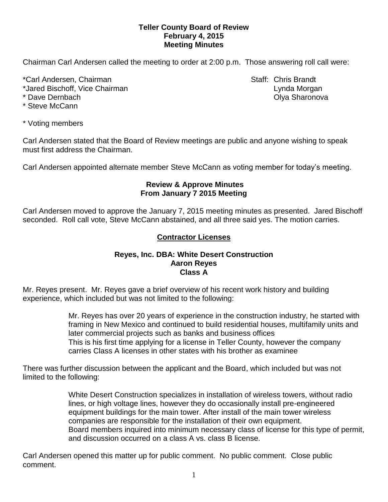### **Teller County Board of Review February 4, 2015 Meeting Minutes**

Chairman Carl Andersen called the meeting to order at 2:00 p.m. Those answering roll call were:

\*Carl Andersen, Chairman Staff: Chris Brandt

\*Jared Bischoff, Vice Chairman Lynda Morgan Lynda Morgan

\* Steve McCann

\* Dave Dernbach **Olya Sharonova Community** Community Community Community Community Community Community Community

\* Voting members

Carl Andersen stated that the Board of Review meetings are public and anyone wishing to speak must first address the Chairman.

Carl Andersen appointed alternate member Steve McCann as voting member for today's meeting.

### **Review & Approve Minutes From January 7 2015 Meeting**

Carl Andersen moved to approve the January 7, 2015 meeting minutes as presented. Jared Bischoff seconded.Roll call vote, Steve McCann abstained, and all three said yes. The motion carries.

# **Contractor Licenses**

### **Reyes, Inc. DBA: White Desert Construction Aaron Reyes Class A**

Mr. Reyes present. Mr. Reyes gave a brief overview of his recent work history and building experience, which included but was not limited to the following:

> Mr. Reyes has over 20 years of experience in the construction industry, he started with framing in New Mexico and continued to build residential houses, multifamily units and later commercial projects such as banks and business offices This is his first time applying for a license in Teller County, however the company carries Class A licenses in other states with his brother as examinee

There was further discussion between the applicant and the Board, which included but was not limited to the following:

> White Desert Construction specializes in installation of wireless towers, without radio lines, or high voltage lines, however they do occasionally install pre-engineered equipment buildings for the main tower. After install of the main tower wireless companies are responsible for the installation of their own equipment. Board members inquired into minimum necessary class of license for this type of permit, and discussion occurred on a class A vs. class B license.

Carl Andersen opened this matter up for public comment. No public comment. Close public comment.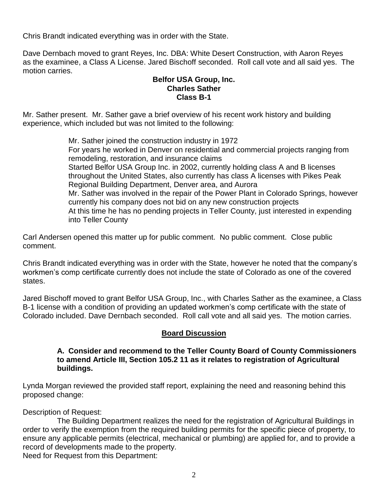Chris Brandt indicated everything was in order with the State.

Dave Dernbach moved to grant Reyes, Inc. DBA: White Desert Construction, with Aaron Reyes as the examinee, a Class A License. Jared Bischoff seconded. Roll call vote and all said yes. The motion carries.

### **Belfor USA Group, Inc. Charles Sather Class B-1**

Mr. Sather present. Mr. Sather gave a brief overview of his recent work history and building experience, which included but was not limited to the following:

> Mr. Sather joined the construction industry in 1972 For years he worked in Denver on residential and commercial projects ranging from remodeling, restoration, and insurance claims Started Belfor USA Group Inc. in 2002, currently holding class A and B licenses throughout the United States, also currently has class A licenses with Pikes Peak Regional Building Department, Denver area, and Aurora Mr. Sather was involved in the repair of the Power Plant in Colorado Springs, however currently his company does not bid on any new construction projects At this time he has no pending projects in Teller County, just interested in expending into Teller County

Carl Andersen opened this matter up for public comment. No public comment. Close public comment.

Chris Brandt indicated everything was in order with the State, however he noted that the company's workmen's comp certificate currently does not include the state of Colorado as one of the covered states.

Jared Bischoff moved to grant Belfor USA Group, Inc., with Charles Sather as the examinee, a Class B-1 license with a condition of providing an updated workmen's comp certificate with the state of Colorado included. Dave Dernbach seconded. Roll call vote and all said yes. The motion carries.

## **Board Discussion**

#### **A. Consider and recommend to the Teller County Board of County Commissioners to amend Article III, Section 105.2 11 as it relates to registration of Agricultural buildings.**

Lynda Morgan reviewed the provided staff report, explaining the need and reasoning behind this proposed change:

Description of Request:

The Building Department realizes the need for the registration of Agricultural Buildings in order to verify the exemption from the required building permits for the specific piece of property, to ensure any applicable permits (electrical, mechanical or plumbing) are applied for, and to provide a record of developments made to the property. Need for Request from this Department: